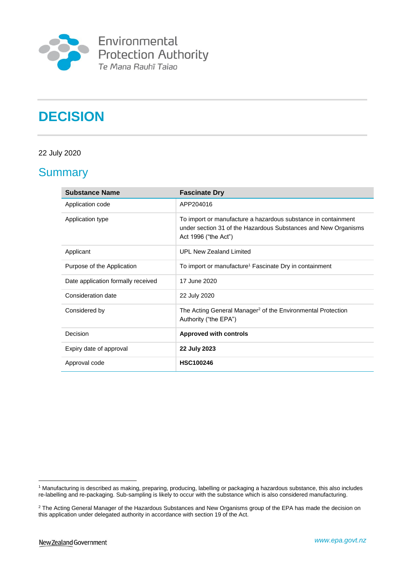

# **DECISION**

#### 22 July 2020

# **Summary**

| <b>Substance Name</b>              | <b>Fascinate Dry</b>                                                                                                                                    |
|------------------------------------|---------------------------------------------------------------------------------------------------------------------------------------------------------|
| Application code                   | APP204016                                                                                                                                               |
| Application type                   | To import or manufacture a hazardous substance in containment<br>under section 31 of the Hazardous Substances and New Organisms<br>Act 1996 ("the Act") |
| Applicant                          | UPL New Zealand Limited                                                                                                                                 |
| Purpose of the Application         | To import or manufacture <sup>1</sup> Fascinate Dry in containment                                                                                      |
| Date application formally received | 17 June 2020                                                                                                                                            |
| Consideration date                 | 22 July 2020                                                                                                                                            |
| Considered by                      | The Acting General Manager <sup>2</sup> of the Environmental Protection<br>Authority ("the EPA")                                                        |
| Decision                           | <b>Approved with controls</b>                                                                                                                           |
| Expiry date of approval            | 22 July 2023                                                                                                                                            |
| Approval code                      | <b>HSC100246</b>                                                                                                                                        |

<sup>1</sup> <sup>1</sup> Manufacturing is described as making, preparing, producing, labelling or packaging a hazardous substance, this also includes re-labelling and re-packaging. Sub-sampling is likely to occur with the substance which is also considered manufacturing.

<sup>&</sup>lt;sup>2</sup> The Acting General Manager of the Hazardous Substances and New Organisms group of the EPA has made the decision on this application under delegated authority in accordance with section 19 of the Act.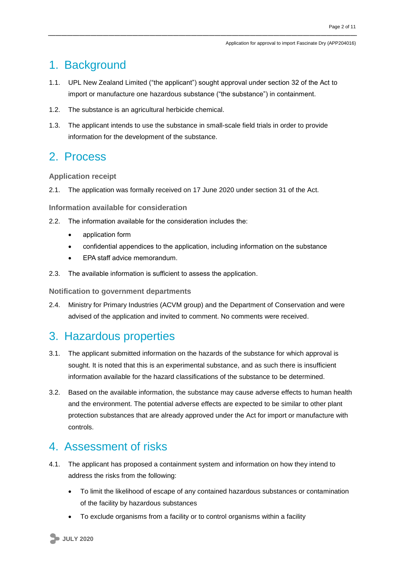### 1. Background

- 1.1. UPL New Zealand Limited ("the applicant") sought approval under section 32 of the Act to import or manufacture one hazardous substance ("the substance") in containment.
- 1.2. The substance is an agricultural herbicide chemical.
- 1.3. The applicant intends to use the substance in small-scale field trials in order to provide information for the development of the substance.

### 2. Process

**Application receipt**

2.1. The application was formally received on 17 June 2020 under section 31 of the Act.

**Information available for consideration**

- 2.2. The information available for the consideration includes the:
	- application form
	- confidential appendices to the application, including information on the substance
	- EPA staff advice memorandum.
- 2.3. The available information is sufficient to assess the application.

**Notification to government departments**

2.4. Ministry for Primary Industries (ACVM group) and the Department of Conservation and were advised of the application and invited to comment. No comments were received.

### 3. Hazardous properties

- 3.1. The applicant submitted information on the hazards of the substance for which approval is sought. It is noted that this is an experimental substance, and as such there is insufficient information available for the hazard classifications of the substance to be determined.
- 3.2. Based on the available information, the substance may cause adverse effects to human health and the environment. The potential adverse effects are expected to be similar to other plant protection substances that are already approved under the Act for import or manufacture with controls.

### 4. Assessment of risks

- 4.1. The applicant has proposed a containment system and information on how they intend to address the risks from the following:
	- To limit the likelihood of escape of any contained hazardous substances or contamination of the facility by hazardous substances
	- To exclude organisms from a facility or to control organisms within a facility

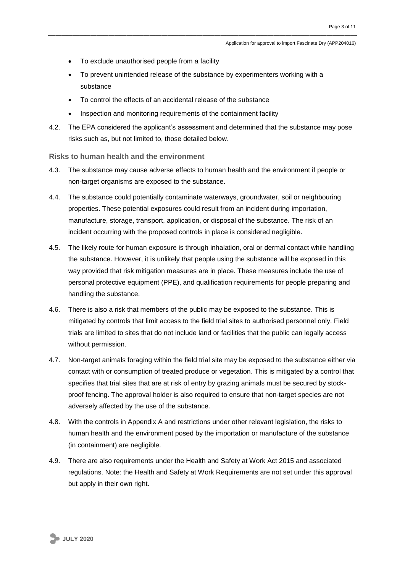- To exclude unauthorised people from a facility
- To prevent unintended release of the substance by experimenters working with a substance
- To control the effects of an accidental release of the substance
- Inspection and monitoring requirements of the containment facility
- 4.2. The EPA considered the applicant's assessment and determined that the substance may pose risks such as, but not limited to, those detailed below.

#### **Risks to human health and the environment**

- 4.3. The substance may cause adverse effects to human health and the environment if people or non-target organisms are exposed to the substance.
- 4.4. The substance could potentially contaminate waterways, groundwater, soil or neighbouring properties. These potential exposures could result from an incident during importation, manufacture, storage, transport, application, or disposal of the substance. The risk of an incident occurring with the proposed controls in place is considered negligible.
- 4.5. The likely route for human exposure is through inhalation, oral or dermal contact while handling the substance. However, it is unlikely that people using the substance will be exposed in this way provided that risk mitigation measures are in place. These measures include the use of personal protective equipment (PPE), and qualification requirements for people preparing and handling the substance.
- 4.6. There is also a risk that members of the public may be exposed to the substance. This is mitigated by controls that limit access to the field trial sites to authorised personnel only. Field trials are limited to sites that do not include land or facilities that the public can legally access without permission.
- 4.7. Non-target animals foraging within the field trial site may be exposed to the substance either via contact with or consumption of treated produce or vegetation. This is mitigated by a control that specifies that trial sites that are at risk of entry by grazing animals must be secured by stockproof fencing. The approval holder is also required to ensure that non-target species are not adversely affected by the use of the substance.
- 4.8. With the controls in Appendix A and restrictions under other relevant legislation, the risks to human health and the environment posed by the importation or manufacture of the substance (in containment) are negligible.
- 4.9. There are also requirements under the Health and Safety at Work Act 2015 and associated regulations. Note: the Health and Safety at Work Requirements are not set under this approval but apply in their own right.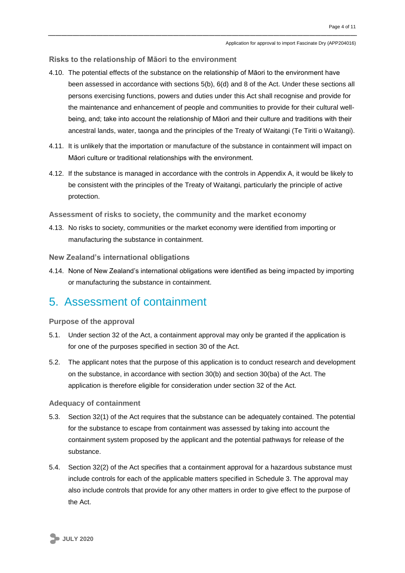#### **Risks to the relationship of Māori to the environment**

- 4.10. The potential effects of the substance on the relationship of Māori to the environment have been assessed in accordance with sections 5(b), 6(d) and 8 of the Act. Under these sections all persons exercising functions, powers and duties under this Act shall recognise and provide for the maintenance and enhancement of people and communities to provide for their cultural wellbeing, and; take into account the relationship of Māori and their culture and traditions with their ancestral lands, water, taonga and the principles of the Treaty of Waitangi (Te Tiriti o Waitangi).
- 4.11. It is unlikely that the importation or manufacture of the substance in containment will impact on Māori culture or traditional relationships with the environment.
- 4.12. If the substance is managed in accordance with the controls in Appendix A, it would be likely to be consistent with the principles of the Treaty of Waitangi, particularly the principle of active protection.

**Assessment of risks to society, the community and the market economy**

4.13. No risks to society, communities or the market economy were identified from importing or manufacturing the substance in containment.

**New Zealand's international obligations**

4.14. None of New Zealand's international obligations were identified as being impacted by importing or manufacturing the substance in containment.

### 5. Assessment of containment

#### **Purpose of the approval**

- 5.1. Under section 32 of the Act, a containment approval may only be granted if the application is for one of the purposes specified in section 30 of the Act.
- 5.2. The applicant notes that the purpose of this application is to conduct research and development on the substance, in accordance with section 30(b) and section 30(ba) of the Act. The application is therefore eligible for consideration under section 32 of the Act.

#### **Adequacy of containment**

- 5.3. Section 32(1) of the Act requires that the substance can be adequately contained. The potential for the substance to escape from containment was assessed by taking into account the containment system proposed by the applicant and the potential pathways for release of the substance.
- 5.4. Section 32(2) of the Act specifies that a containment approval for a hazardous substance must include controls for each of the applicable matters specified in Schedule 3. The approval may also include controls that provide for any other matters in order to give effect to the purpose of the Act.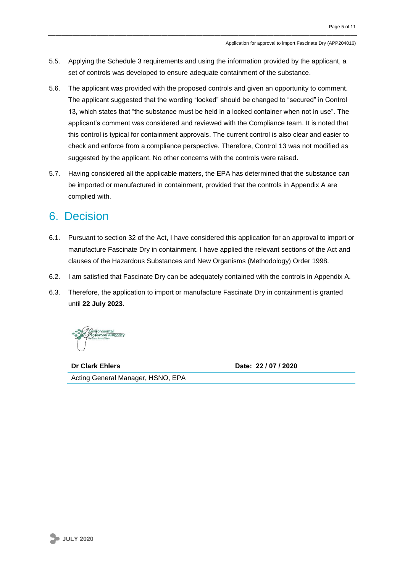- 5.5. Applying the Schedule 3 requirements and using the information provided by the applicant, a set of controls was developed to ensure adequate containment of the substance.
- 5.6. The applicant was provided with the proposed controls and given an opportunity to comment. The applicant suggested that the wording "locked" should be changed to "secured" in Control 13, which states that "the substance must be held in a locked container when not in use". The applicant's comment was considered and reviewed with the Compliance team. It is noted that this control is typical for containment approvals. The current control is also clear and easier to check and enforce from a compliance perspective. Therefore, Control 13 was not modified as suggested by the applicant. No other concerns with the controls were raised.
- 5.7. Having considered all the applicable matters, the EPA has determined that the substance can be imported or manufactured in containment, provided that the controls in Appendix A are complied with.

### 6. Decision

- 6.1. Pursuant to section 32 of the Act, I have considered this application for an approval to import or manufacture Fascinate Dry in containment. I have applied the relevant sections of the Act and clauses of the Hazardous Substances and New Organisms (Methodology) Order 1998.
- 6.2. I am satisfied that Fascinate Dry can be adequately contained with the controls in Appendix A.
- 6.3. Therefore, the application to import or manufacture Fascinate Dry in containment is granted until **22 July 2023**.

ะทุ⁄mental<br>ว⁄เรื่อก Aut<u>horit</u>ั\

**Dr Clark Ehlers Date: 22 / 07 / 2020** Acting General Manager, HSNO, EPA

**JULY 2020**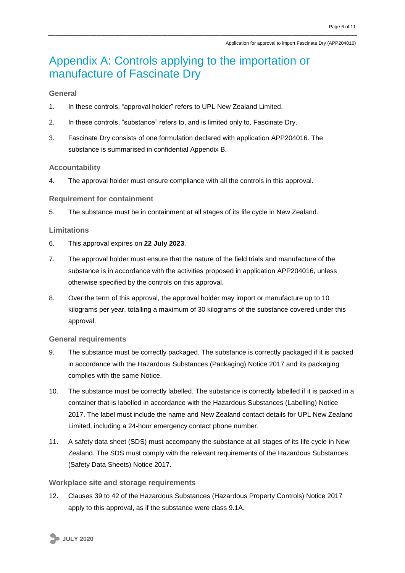# Appendix A: Controls applying to the importation or manufacture of Fascinate Dry

#### **General**

- 1. In these controls, "approval holder" refers to UPL New Zealand Limited.
- 2. In these controls, "substance" refers to, and is limited only to, Fascinate Dry.
- 3. Fascinate Dry consists of one formulation declared with application APP204016. The substance is summarised in confidential Appendix B.

#### **Accountability**

4. The approval holder must ensure compliance with all the controls in this approval.

#### **Requirement for containment**

5. The substance must be in containment at all stages of its life cycle in New Zealand.

#### **Limitations**

- 6. This approval expires on **22 July 2023**.
- 7. The approval holder must ensure that the nature of the field trials and manufacture of the substance is in accordance with the activities proposed in application APP204016, unless otherwise specified by the controls on this approval.
- 8. Over the term of this approval, the approval holder may import or manufacture up to 10 kilograms per year, totalling a maximum of 30 kilograms of the substance covered under this approval.

#### **General requirements**

- 9. The substance must be correctly packaged. The substance is correctly packaged if it is packed in accordance with the Hazardous Substances (Packaging) Notice 2017 and its packaging complies with the same Notice.
- 10. The substance must be correctly labelled. The substance is correctly labelled if it is packed in a container that is labelled in accordance with the Hazardous Substances (Labelling) Notice 2017. The label must include the name and New Zealand contact details for UPL New Zealand Limited, including a 24-hour emergency contact phone number.
- 11. A safety data sheet (SDS) must accompany the substance at all stages of its life cycle in New Zealand. The SDS must comply with the relevant requirements of the Hazardous Substances (Safety Data Sheets) Notice 2017.

#### **Workplace site and storage requirements**

12. Clauses 39 to 42 of the Hazardous Substances (Hazardous Property Controls) Notice 2017 apply to this approval, as if the substance were class 9.1A.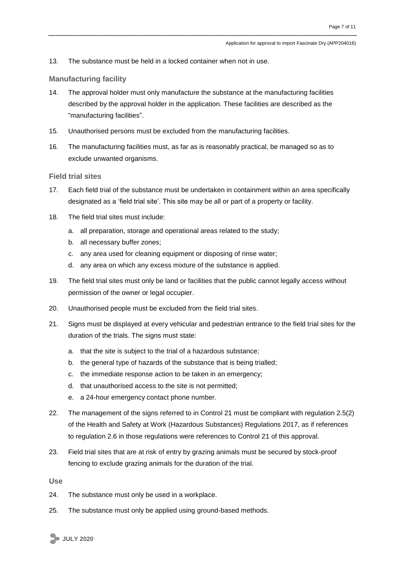13. The substance must be held in a locked container when not in use.

#### **Manufacturing facility**

- 14. The approval holder must only manufacture the substance at the manufacturing facilities described by the approval holder in the application. These facilities are described as the "manufacturing facilities".
- 15. Unauthorised persons must be excluded from the manufacturing facilities.
- 16. The manufacturing facilities must, as far as is reasonably practical, be managed so as to exclude unwanted organisms.

#### **Field trial sites**

- 17. Each field trial of the substance must be undertaken in containment within an area specifically designated as a 'field trial site'. This site may be all or part of a property or facility.
- 18. The field trial sites must include:
	- a. all preparation, storage and operational areas related to the study;
	- b. all necessary buffer zones;
	- c. any area used for cleaning equipment or disposing of rinse water;
	- d. any area on which any excess mixture of the substance is applied.
- 19. The field trial sites must only be land or facilities that the public cannot legally access without permission of the owner or legal occupier.
- 20. Unauthorised people must be excluded from the field trial sites.
- 21. Signs must be displayed at every vehicular and pedestrian entrance to the field trial sites for the duration of the trials. The signs must state:
	- a. that the site is subject to the trial of a hazardous substance;
	- b. the general type of hazards of the substance that is being trialled;
	- c. the immediate response action to be taken in an emergency;
	- d. that unauthorised access to the site is not permitted;
	- e. a 24-hour emergency contact phone number.
- 22. The management of the signs referred to in Control 21 must be compliant with regulation 2.5(2) of the Health and Safety at Work (Hazardous Substances) Regulations 2017, as if references to regulation 2.6 in those regulations were references to Control 21 of this approval.
- 23. Field trial sites that are at risk of entry by grazing animals must be secured by stock-proof fencing to exclude grazing animals for the duration of the trial.

**Use**

- 24. The substance must only be used in a workplace.
- 25. The substance must only be applied using ground-based methods.

**JULY 2020**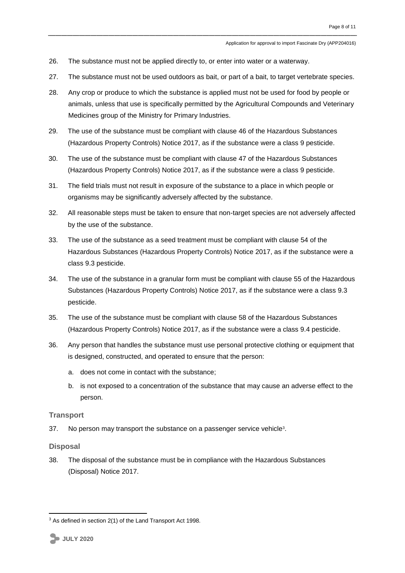- 26. The substance must not be applied directly to, or enter into water or a waterway.
- 27. The substance must not be used outdoors as bait, or part of a bait, to target vertebrate species.
- 28. Any crop or produce to which the substance is applied must not be used for food by people or animals, unless that use is specifically permitted by the Agricultural Compounds and Veterinary Medicines group of the Ministry for Primary Industries.
- 29. The use of the substance must be compliant with clause 46 of the Hazardous Substances (Hazardous Property Controls) Notice 2017, as if the substance were a class 9 pesticide.
- 30. The use of the substance must be compliant with clause 47 of the Hazardous Substances (Hazardous Property Controls) Notice 2017, as if the substance were a class 9 pesticide.
- 31. The field trials must not result in exposure of the substance to a place in which people or organisms may be significantly adversely affected by the substance.
- 32. All reasonable steps must be taken to ensure that non-target species are not adversely affected by the use of the substance.
- 33. The use of the substance as a seed treatment must be compliant with clause 54 of the Hazardous Substances (Hazardous Property Controls) Notice 2017, as if the substance were a class 9.3 pesticide.
- 34. The use of the substance in a granular form must be compliant with clause 55 of the Hazardous Substances (Hazardous Property Controls) Notice 2017, as if the substance were a class 9.3 pesticide.
- 35. The use of the substance must be compliant with clause 58 of the Hazardous Substances (Hazardous Property Controls) Notice 2017, as if the substance were a class 9.4 pesticide.
- 36. Any person that handles the substance must use personal protective clothing or equipment that is designed, constructed, and operated to ensure that the person:
	- a. does not come in contact with the substance;
	- b. is not exposed to a concentration of the substance that may cause an adverse effect to the person.

#### **Transport**

37. No person may transport the substance on a passenger service vehicle<sup>3</sup>.

#### **Disposal**

38. The disposal of the substance must be in compliance with the Hazardous Substances (Disposal) Notice 2017.

<u>.</u>

<sup>&</sup>lt;sup>3</sup> As defined in section 2(1) of the Land Transport Act 1998.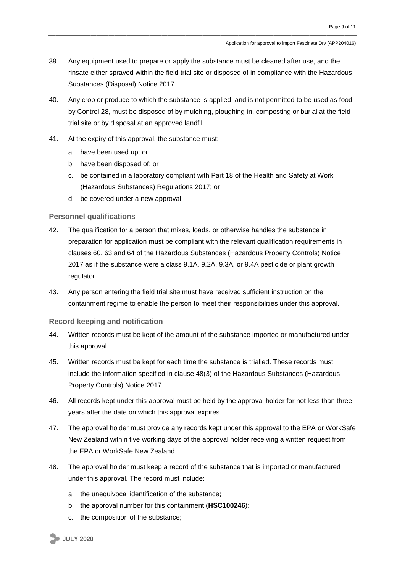- 39. Any equipment used to prepare or apply the substance must be cleaned after use, and the rinsate either sprayed within the field trial site or disposed of in compliance with the Hazardous Substances (Disposal) Notice 2017.
- 40. Any crop or produce to which the substance is applied, and is not permitted to be used as food by Control 28, must be disposed of by mulching, ploughing-in, composting or burial at the field trial site or by disposal at an approved landfill.
- 41. At the expiry of this approval, the substance must:
	- a. have been used up; or
	- b. have been disposed of; or
	- c. be contained in a laboratory compliant with Part 18 of the Health and Safety at Work (Hazardous Substances) Regulations 2017; or
	- d. be covered under a new approval.

#### **Personnel qualifications**

- 42. The qualification for a person that mixes, loads, or otherwise handles the substance in preparation for application must be compliant with the relevant qualification requirements in clauses 60, 63 and 64 of the Hazardous Substances (Hazardous Property Controls) Notice 2017 as if the substance were a class 9.1A, 9.2A, 9.3A, or 9.4A pesticide or plant growth regulator.
- 43. Any person entering the field trial site must have received sufficient instruction on the containment regime to enable the person to meet their responsibilities under this approval.

#### **Record keeping and notification**

- 44. Written records must be kept of the amount of the substance imported or manufactured under this approval.
- 45. Written records must be kept for each time the substance is trialled. These records must include the information specified in clause 48(3) of the Hazardous Substances (Hazardous Property Controls) Notice 2017.
- 46. All records kept under this approval must be held by the approval holder for not less than three years after the date on which this approval expires.
- 47. The approval holder must provide any records kept under this approval to the EPA or WorkSafe New Zealand within five working days of the approval holder receiving a written request from the EPA or WorkSafe New Zealand.
- 48. The approval holder must keep a record of the substance that is imported or manufactured under this approval. The record must include:
	- a. the unequivocal identification of the substance;
	- b. the approval number for this containment (**HSC100246**);
	- c. the composition of the substance;

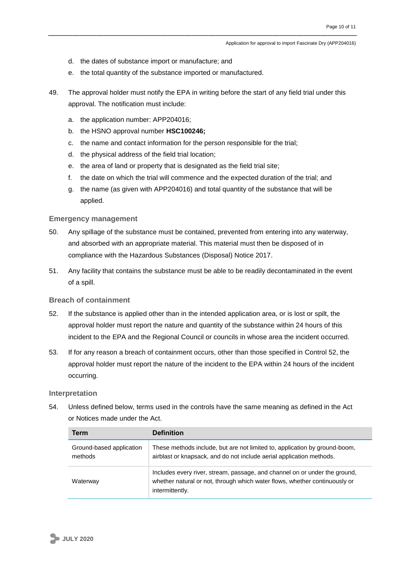- d. the dates of substance import or manufacture; and
- e. the total quantity of the substance imported or manufactured.
- 49. The approval holder must notify the EPA in writing before the start of any field trial under this approval. The notification must include:
	- a. the application number: APP204016;
	- b. the HSNO approval number **HSC100246;**
	- c. the name and contact information for the person responsible for the trial;
	- d. the physical address of the field trial location;
	- e. the area of land or property that is designated as the field trial site;
	- f. the date on which the trial will commence and the expected duration of the trial; and
	- g. the name (as given with APP204016) and total quantity of the substance that will be applied.

#### **Emergency management**

- 50. Any spillage of the substance must be contained, prevented from entering into any waterway, and absorbed with an appropriate material. This material must then be disposed of in compliance with the Hazardous Substances (Disposal) Notice 2017.
- 51. Any facility that contains the substance must be able to be readily decontaminated in the event of a spill.

#### **Breach of containment**

- 52. If the substance is applied other than in the intended application area, or is lost or spilt, the approval holder must report the nature and quantity of the substance within 24 hours of this incident to the EPA and the Regional Council or councils in whose area the incident occurred.
- 53. If for any reason a breach of containment occurs, other than those specified in Control 52, the approval holder must report the nature of the incident to the EPA within 24 hours of the incident occurring.

#### **Interpretation**

54. Unless defined below, terms used in the controls have the same meaning as defined in the Act or Notices made under the Act.

| Term                                | <b>Definition</b>                                                                                                                                                           |
|-------------------------------------|-----------------------------------------------------------------------------------------------------------------------------------------------------------------------------|
| Ground-based application<br>methods | These methods include, but are not limited to, application by ground-boom,<br>airblast or knapsack, and do not include aerial application methods.                          |
| Waterway                            | Includes every river, stream, passage, and channel on or under the ground,<br>whether natural or not, through which water flows, whether continuously or<br>intermittently. |